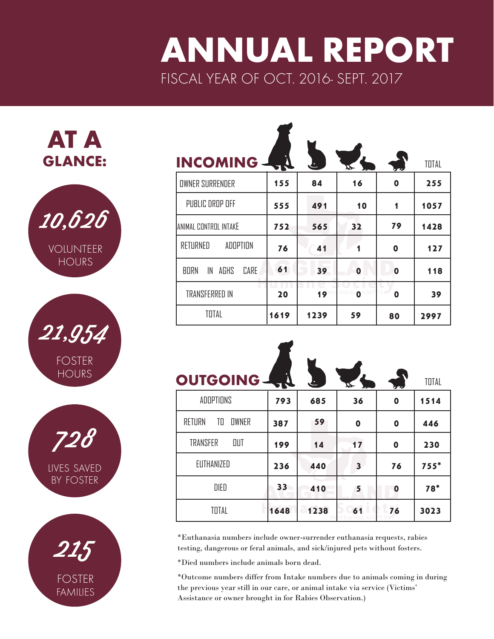## ANNUAL REPORT FISCAL YEAR OF OCT. 2016- SEPT. 2017







| <b>INCOMING</b>                   | - 54 |                 | ⋢                   |             | TOTAL |
|-----------------------------------|------|-----------------|---------------------|-------------|-------|
| <b>OWNER SURRENDER</b>            | 155  | 84              | 16                  | 0           | 255   |
| PUBLIC DROP OFF                   | 555  | 491             | 10                  | 1           | 1057  |
| ANIMAL CONTROL INTAKE             | 752  | 565             | 32                  | 79          | 1428  |
| RETURNED<br>ADDPTION              | 76   | 41              | 1                   | 0           | 127   |
| <b>BORN</b><br>IN<br>AGHS<br>CARE | 61   | 39              | 0                   | $\mathbf 0$ | 118   |
| <b>TRANSFERRED IN</b>             | 20   | 19 <sup>°</sup> | buy lov $\mathbf 0$ | 0           | 39    |
| TOTAL                             | 1619 | 1239            | 59                  | 80          | 2997  |

| <b>OUTGOING - RU</b>         |      |      | ┻                       | رد دا | TOTAL  |
|------------------------------|------|------|-------------------------|-------|--------|
| ADDPTIONS                    | 793  | 685  | 36                      | 0     | 1514   |
| <b>OWNER</b><br>RETURN<br>TO | 387  | 59   | 0                       | 0     | 446    |
| <b>TRANSFER</b><br>OUT       | 199  | 14   | 17                      | 0     | 230    |
| EUTHANIZED                   | 236  | 440  | $\overline{\mathbf{3}}$ | 76    | $755*$ |
| DIED                         | 33   | 410  | 5                       | 0     | $78*$  |
| TOTAL                        | 1648 | 1238 | 61                      | 76    | 3023   |

\*Euthanasia numbers include owner-surrender euthanasia requests, rabies testing, dangerous or feral animals, and sick/injured pets without fosters.

\*Died numbers include animals born dead.

\*Outcome numbers differ from Intake numbers due to animals coming in during the previous year still in our care, or animal intake via service (Victims' Assistance or owner brought in for Rabies Observation.)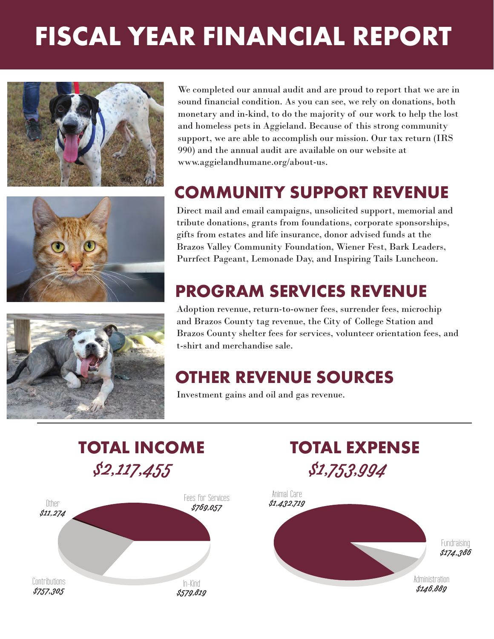# FISCAL YEAR FINANCIAL REPORT







We completed our annual audit and are proud to report that we are in sound financial condition. As you can see, we rely on donations, both monetary and in-kind, to do the majority of our work to help the lost and homeless pets in Aggieland. Because of this strong community support, we are able to accomplish our mission. Our tax return (IRS 990) and the annual audit are available on our website at www.aggielandhumane.org/about-us.

### COMMUNITY SUPPORT REVENUE

Direct mail and email campaigns, unsolicited support, memorial and tribute donations, grants from foundations, corporate sponsorships, gifts from estates and life insurance, donor advised funds at the Brazos Valley Community Foundation, Wiener Fest, Bark Leaders, Purrfect Pageant, Lemonade Day, and Inspiring Tails Luncheon.

### PROGRAM SERVICES REVENUE

Adoption revenue, return-to-owner fees, surrender fees, microchip and Brazos County tag revenue, the City of College Station and Brazos County shelter fees for services, volunteer orientation fees, and t-shirt and merchandise sale.

#### OTHER REVENUE SOURCES

Investment gains and oil and gas revenue.



In-Kind \$579,819



Contributions \$757, 305